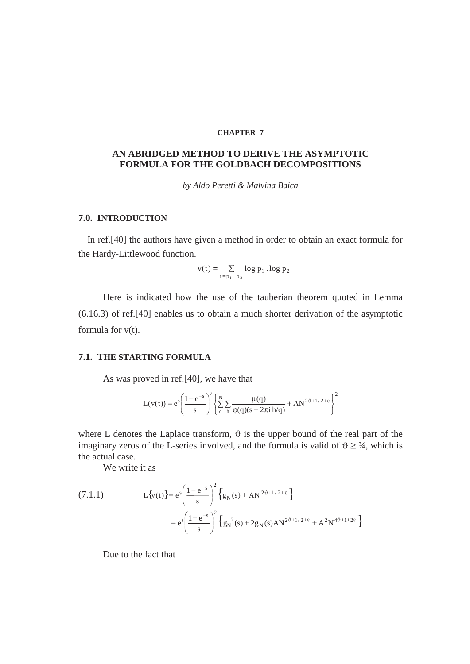## **CHAPTER 7**

## **AN ABRIDGED METHOD TO DERIVE THE ASYMPTOTIC FORMULA FOR THE GOLDBACH DECOMPOSITIONS**

*by Aldo Peretti & Malvina Baica* 

## **7.0. INTRODUCTION**

In ref.[40] the authors have given a method in order to obtain an exact formula for the Hardy-Littlewood function.

$$
v(t) = \sum_{t=p_1+p_2} \log p_1 \cdot \log p_2
$$

Here is indicated how the use of the tauberian theorem quoted in Lemma (6.16.3) of ref.[40] enables us to obtain a much shorter derivation of the asymptotic formula for v(t).

## **7.1. THE STARTING FORMULA**

As was proved in ref.[40], we have that

$$
L(v(t)) = e^s \left( \frac{1 - e^{-s}}{s} \right)^2 \left\{ \sum_{q}^{N} \sum_{h} \frac{\mu(q)}{\varphi(q)(s + 2\pi i h/q)} + A N^{2\vartheta + 1/2 + \epsilon} \right\}^2
$$

where L denotes the Laplace transform,  $\vartheta$  is the upper bound of the real part of the imaginary zeros of the L-series involved, and the formula is valid of  $\vartheta \geq \frac{3}{4}$ , which is the actual case.

We write it as

(7.1.1) 
$$
L\{v(t)\} = e^s \left(\frac{1 - e^{-s}}{s}\right)^2 \left\{g_N(s) + AN^{2\vartheta + 1/2 + \epsilon}\right\}
$$

$$
= e^s \left(\frac{1 - e^{-s}}{s}\right)^2 \left\{g_N^2(s) + 2g_N(s)AN^{2\vartheta + 1/2 + \epsilon} + A^2N^{4\vartheta + 1 + 2\epsilon}\right\}
$$

Due to the fact that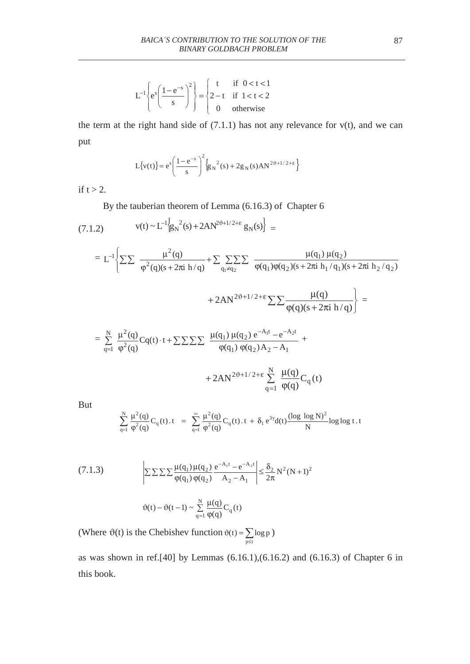$$
L^{-1}\left\{e^s\left(\frac{1-e^{-s}}{s}\right)^2\right\} = \begin{cases} t & \text{if } 0 < t < 1\\ 2-t & \text{if } 1 < t < 2\\ 0 & \text{otherwise} \end{cases}
$$

the term at the right hand side of  $(7.1.1)$  has not any relevance for  $v(t)$ , and we can put

$$
L{v(t)} = e^{s} \left( \frac{1 - e^{-s}}{s} \right)^2 \left\{ g_N^2(s) + 2g_N(s)AN^{2\vartheta + 1/2 + \epsilon} \right\}
$$

if  $t > 2$ .

By the tauberian theorem of Lemma (6.16.3) of Chapter 6

$$
(7.1.2) \t v(t) \sim L^{-1} \Big[ g_N^2(s) + 2A N^{2\vartheta + 1/2 + \epsilon} g_N(s) \Big] =
$$

$$
= L^{-1} \Biggl\{ \sum \sum \frac{\mu^2(q)}{\varphi^2(q)(s + 2\pi i \, h/q)} + \sum \sum \sum \sum \sum \frac{\mu(q_1) \mu(q_2)}{\varphi(q_1) \varphi(q_2)(s + 2\pi i \, h_1/q_1)(s + 2\pi i \, h_2/q_2)} + 2AN^{2\vartheta + 1/2 + \epsilon} \sum \sum \frac{\mu(q)}{\varphi(q)(s + 2\pi i \, h/q)} \Biggr\} =
$$
  

$$
= \sum_{q=1}^{N} \frac{\mu^2(q)}{\varphi^2(q)} Cq(t) \cdot t + \sum \sum \sum \sum \frac{\mu(q_1) \mu(q_2) e^{-A_1 t} - e^{-A_2 t}}{\varphi(q_1) \, \varphi(q_2) A_2 - A_1} + 2AN^{2\vartheta + 1/2 + \epsilon} \sum_{q=1}^{N} \frac{\mu(q)}{\varphi(q)} C_q(t)
$$

But

$$
\sum_{q=1}^N \frac{\mu^2(q)}{\phi^2(q)} C_q(t) \cdot t = \sum_{q=1}^\infty \frac{\mu^2(q)}{\phi^2(q)} C_q(t) \cdot t + \delta_1 e^{3\gamma} d(t) \frac{(\log \log N)^2}{N} \log \log t \cdot t
$$

(7.1.3)  
\n
$$
\left| \sum \sum \sum \sum \frac{\mu(q_1) \mu(q_2)}{\phi(q_1) \phi(q_2)} \frac{e^{-A_1 t} - e^{-A_2 t}}{A_2 - A_1} \right| \le \frac{\delta_2}{2\pi} N^2 (N+1)^2
$$
\n
$$
\vartheta(t) - \vartheta(t-1) \sim \sum_{q=1}^{N} \frac{\mu(q)}{\phi(q)} C_q(t)
$$

(Where  $\vartheta(t)$  is the Chebishev function  $p \leq t$  $f(t) = \sum \log p$  $\vartheta(t) = \sum_{p \leq t} \log p$ )

as was shown in ref.[40] by Lemmas (6.16.1),(6.16.2) and (6.16.3) of Chapter 6 in this book.